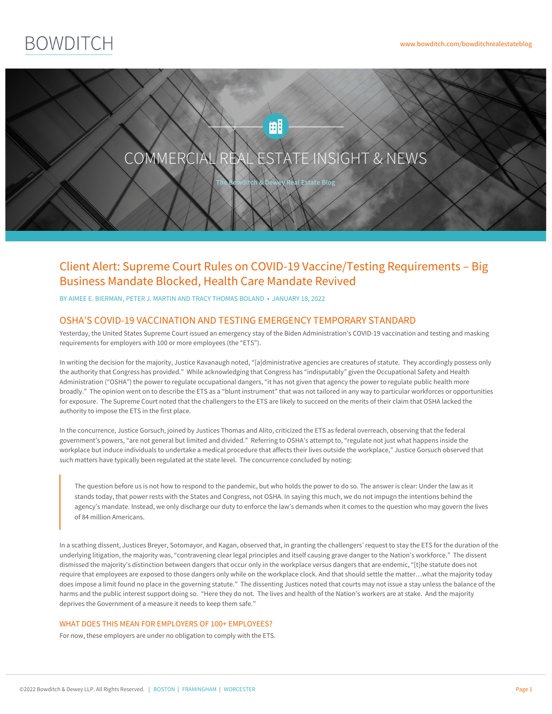



## Client Alert: Supreme Court Rules on COVID-19 Vaccine/Testing Requirements – Big Business Mandate Blocked, Health Care Mandate Revived

BY AIMEE E. [BIERMAN](https://www.bowditch.com/attorney/aimee-e-bierman), PETER J. [MARTIN](https://www.bowditch.com/attorney/peter-j-martin) AND TRACY [THOMAS](https://www.bowditch.com/attorney/tracy-thomas-boland) BOLAND • JANUARY 18, 2022

#### OSHA'S COVID-19 VACCINATION AND TESTING EMERGENCY TEMPORARY STANDARD

Yesterday, the United States Supreme Court issued an emergency stay of the Biden Administration's COVID-19 vaccination and testing and masking requirements for employers with 100 or more employees (the "ETS").

In writing the decision for the majority, Justice Kavanaugh noted, "[a]dministrative agencies are creatures of statute. They accordingly possess only the authority that Congress has provided." While acknowledging that Congress has "indisputably" given the Occupational Safety and Health Administration ("OSHA") the power to regulate occupational dangers, "it has not given that agency the power to regulate public health more broadly." The opinion went on to describe the ETS as a "blunt instrument" that was not tailored in any way to particular workforces or opportunities for exposure. The Supreme Court noted that the challengers to the ETS are likely to succeed on the merits of their claim that OSHA lacked the authority to impose the ETS in the first place.

In the concurrence, Justice Gorsuch, joined by Justices Thomas and Alito, criticized the ETS as federal overreach, observing that the federal government's powers, "are not general but limited and divided." Referring to OSHA's attempt to, "regulate not just what happens inside the workplace but induce individuals to undertake a medical procedure that affects their lives outside the workplace," Justice Gorsuch observed that such matters have typically been regulated at the state level. The concurrence concluded by noting:

The question before us is not how to respond to the pandemic, but who holds the power to do so. The answer is clear: Under the law as it stands today, that power rests with the States and Congress, not OSHA. In saying this much, we do not impugn the intentions behind the agency's mandate. Instead, we only discharge our duty to enforce the law's demands when it comes to the question who may govern the lives of 84 million Americans.

In a scathing dissent, Justices Breyer, Sotomayor, and Kagan, observed that, in granting the challengers' request to stay the ETS for the duration of the underlying litigation, the majority was, "contravening clear legal principles and itself causing grave danger to the Nation's workforce." The dissent dismissed the majority's distinction between dangers that occur only in the workplace versus dangers that are endemic, "[t]he statute does not require that employees are exposed to those dangers only while on the workplace clock. And that should settle the matter…what the majority today does impose a limit found no place in the governing statute." The dissenting Justices noted that courts may not issue a stay unless the balance of the harms and the public interest support doing so. "Here they do not. The lives and health of the Nation's workers are at stake. And the majority deprives the Government of a measure it needs to keep them safe."

#### WHAT DOES THIS MEAN FOR [EMPL](https://www.bowditch.com/?p=174)O[YERS](https://www.bowditch.com/?p=176) OF 100+ [EMPLOY](https://www.bowditch.com/?p=175)EES?

For now, these employers are under no obligation to comply with the ETS.